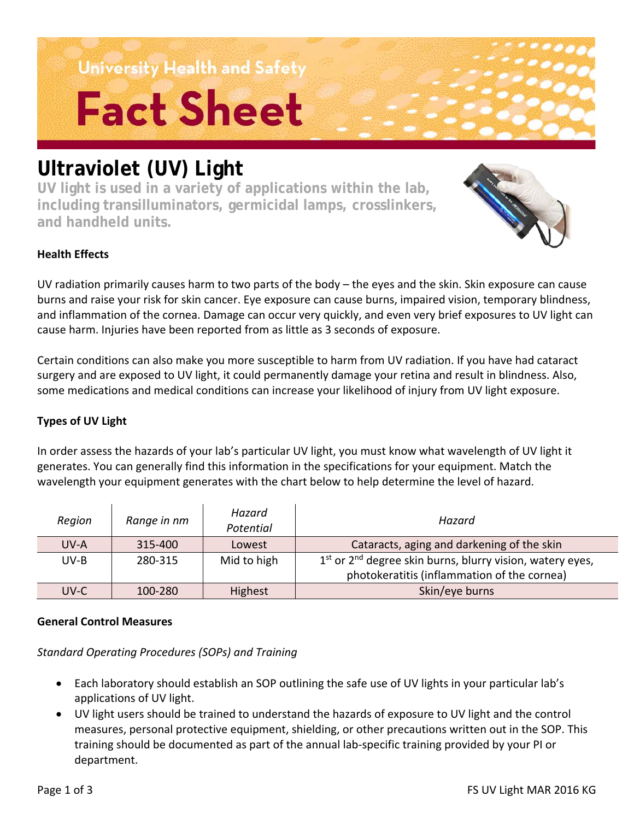University Health and Safety **Fact Sheet** 

### **Ultraviolet (UV) Light**

**UV light is used in a variety of applications within the lab, including transilluminators, germicidal lamps, crosslinkers, and handheld units.** 



### **Health Effects**

UV radiation primarily causes harm to two parts of the body – the eyes and the skin. Skin exposure can cause burns and raise your risk for skin cancer. Eye exposure can cause burns, impaired vision, temporary blindness, and inflammation of the cornea. Damage can occur very quickly, and even very brief exposures to UV light can cause harm. Injuries have been reported from as little as 3 seconds of exposure.

Certain conditions can also make you more susceptible to harm from UV radiation. If you have had cataract surgery and are exposed to UV light, it could permanently damage your retina and result in blindness. Also, some medications and medical conditions can increase your likelihood of injury from UV light exposure.

### **Types of UV Light**

In order assess the hazards of your lab's particular UV light, you must know what wavelength of UV light it generates. You can generally find this information in the specifications for your equipment. Match the wavelength your equipment generates with the chart below to help determine the level of hazard.

| Region | Range in nm | Hazard<br>Potential | Hazard                                                                            |
|--------|-------------|---------------------|-----------------------------------------------------------------------------------|
| UV-A   | 315-400     | Lowest              | Cataracts, aging and darkening of the skin                                        |
| UV-B   | 280-315     | Mid to high         | 1 <sup>st</sup> or 2 <sup>nd</sup> degree skin burns, blurry vision, watery eyes, |
|        |             |                     | photokeratitis (inflammation of the cornea)                                       |
| UV-C   | 100-280     | Highest             | Skin/eye burns                                                                    |

### **General Control Measures**

*Standard Operating Procedures (SOPs) and Training*

- Each laboratory should establish an SOP outlining the safe use of UV lights in your particular lab's applications of UV light.
- UV light users should be trained to understand the hazards of exposure to UV light and the control measures, personal protective equipment, shielding, or other precautions written out in the SOP. This training should be documented as part of the annual lab-specific training provided by your PI or department.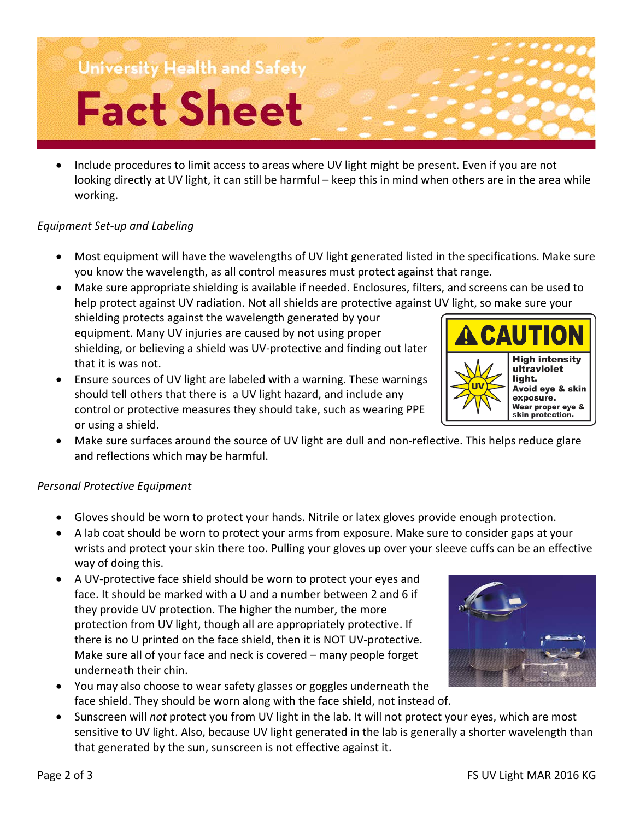## University Health and Safety

# **Fact Sheet**

• Include procedures to limit access to areas where UV light might be present. Even if you are not looking directly at UV light, it can still be harmful – keep this in mind when others are in the area while working.

### *Equipment Set-up and Labeling*

- Most equipment will have the wavelengths of UV light generated listed in the specifications. Make sure you know the wavelength, as all control measures must protect against that range.
- Make sure appropriate shielding is available if needed. Enclosures, filters, and screens can be used to help protect against UV radiation. Not all shields are protective against UV light, so make sure your shielding protects against the wavelength generated by your **A CAUTIOI** equipment. Many UV injuries are caused by not using proper shielding, or believing a shield was UV-protective and finding out later that it is was not.
- Ensure sources of UV light are labeled with a warning. These warnings should tell others that there is a UV light hazard, and include any control or protective measures they should take, such as wearing PPE or using a shield.
- Make sure surfaces around the source of UV light are dull and non-reflective. This helps reduce glare and reflections which may be harmful.

### *Personal Protective Equipment*

- Gloves should be worn to protect your hands. Nitrile or latex gloves provide enough protection.
- A lab coat should be worn to protect your arms from exposure. Make sure to consider gaps at your wrists and protect your skin there too. Pulling your gloves up over your sleeve cuffs can be an effective way of doing this.
- A UV-protective face shield should be worn to protect your eyes and face. It should be marked with a U and a number between 2 and 6 if they provide UV protection. The higher the number, the more protection from UV light, though all are appropriately protective. If there is no U printed on the face shield, then it is NOT UV-protective. Make sure all of your face and neck is covered – many people forget underneath their chin.
- You may also choose to wear safety glasses or goggles underneath the face shield. They should be worn along with the face shield, not instead of.
- Sunscreen will *not* protect you from UV light in the lab. It will not protect your eyes, which are most sensitive to UV light. Also, because UV light generated in the lab is generally a shorter wavelength than that generated by the sun, sunscreen is not effective against it.